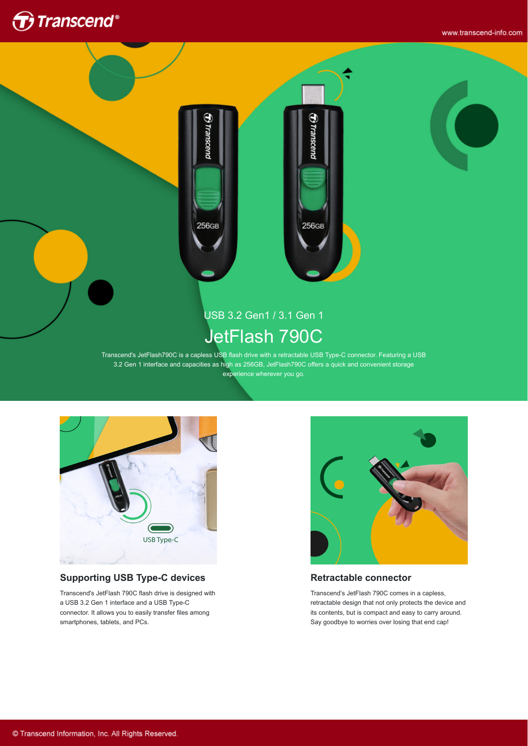

www.transcend-info.com



rranscenc

256GB

# USB 3.2 Gen1 / 3.1 Gen 1 JetFlash 790C

Transcend's JetFlash790C is a capless USB flash drive with a retractable USB Type-C connector. Featuring a USB 3.2 Gen 1 interface and capacities as high as 256GB, JetFlash790C offers a quick and convenient storage experience wherever you go.



#### **Supporting USB Type-C devices**

Transcend's JetFlash 790C flash drive is designed with a USB 3.2 Gen 1 interface and a USB Type-C connector. It allows you to easily transfer files among smartphones, tablets, and PCs.



#### **Retractable connector**

Transcend's JetFlash 790C comes in a capless, retractable design that not only protects the device and its contents, but is compact and easy to carry around. Say goodbye to worries over losing that end cap!